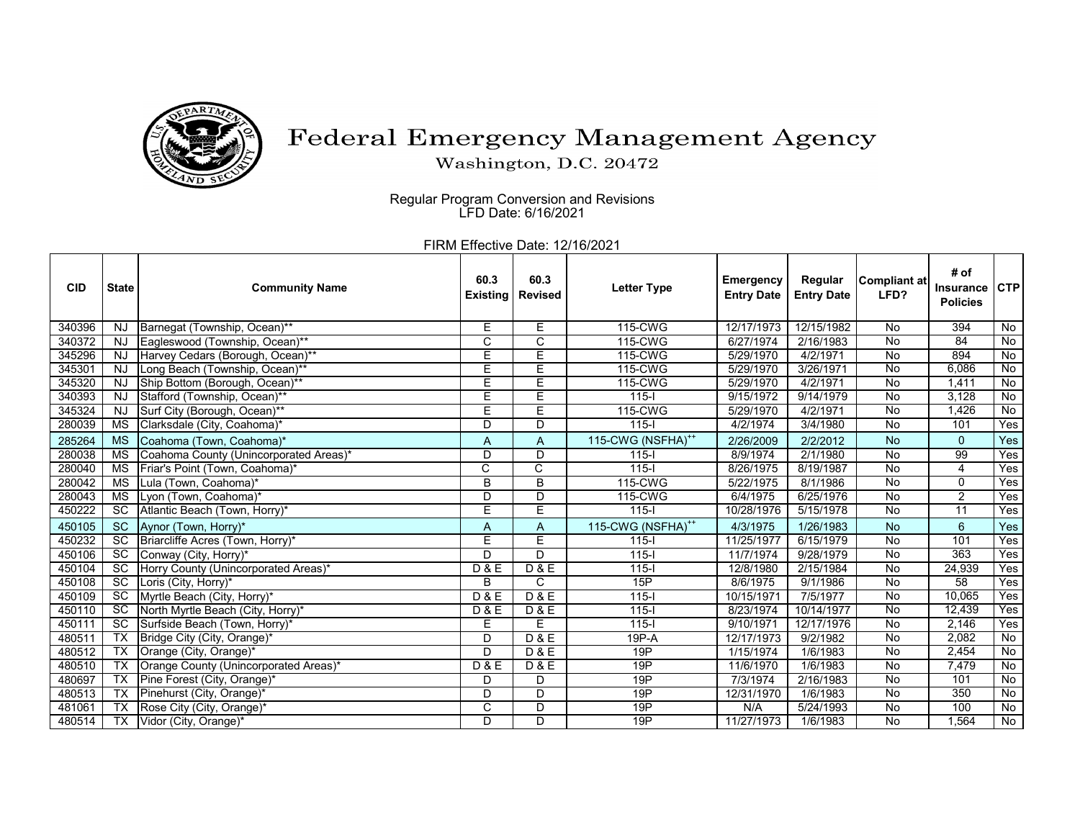

## Federal Emergency Management Agency

Washington, D.C. 20472

Regular Program Conversion and Revisions LFD Date: 6/16/2021

FIRM Effective Date: 12/16/2021

| <b>CID</b> | <b>State</b>    | <b>Community Name</b>                  | 60.3<br><b>Existing</b> | 60.3<br><b>Revised</b> | <b>Letter Type</b>            | <b>Emergency</b><br><b>Entry Date</b> | Regular<br><b>Entry Date</b> | Compliant at<br>LFD? | # of<br>Insurance<br><b>Policies</b> | <b>CTP</b>     |
|------------|-----------------|----------------------------------------|-------------------------|------------------------|-------------------------------|---------------------------------------|------------------------------|----------------------|--------------------------------------|----------------|
| 340396     | <b>NJ</b>       | Barnegat (Township, Ocean)**           | Е                       | E                      | 115-CWG                       | 12/17/1973                            | 12/15/1982                   | No                   | 394                                  | $\overline{N}$ |
| 340372     | <b>NJ</b>       | Eagleswood (Township, Ocean)**         | $\overline{C}$          | C                      | 115-CWG                       | 6/27/1974                             | 2/16/1983                    | No                   | $\overline{84}$                      | No             |
| 345296     | <b>NJ</b>       | Harvey Cedars (Borough, Ocean)**       | Ε                       | Ē                      | 115-CWG                       | 5/29/1970                             | 4/2/1971                     | No                   | 894                                  | $\overline{N}$ |
| 345301     | <b>NJ</b>       | Long Beach (Township, Ocean)**         | Ε                       | E                      | 115-CWG                       | 5/29/1970                             | 3/26/1971                    | $\overline{N}$       | 6,086                                | No             |
| 345320     | <b>NJ</b>       | Ship Bottom (Borough, Ocean)**         | E                       | Ē                      | 115-CWG                       | 5/29/1970                             | 4/2/1971                     | No                   | 1,411                                | No             |
| 340393     | <b>NJ</b>       | Stafford (Township, Ocean)**           | Ε                       | E                      | $115 -$                       | 9/15/1972                             | 9/14/1979                    | $\overline{N}$       | 3,128                                | $\overline{N}$ |
| 345324     | <b>NJ</b>       | Surf City (Borough, Ocean)**           | E                       | E                      | 115-CWG                       | 5/29/1970                             | 4/2/1971                     | No                   | 1.426                                | No             |
| 280039     | МS              | Clarksdale (City, Coahoma)*            | D                       | D                      | $115 -$                       | 4/2/1974                              | 3/4/1980                     | No                   | 101                                  | Yes            |
| 285264     | <b>MS</b>       | Coahoma (Town, Coahoma)*               | A                       | A                      | 115-CWG (NSFHA) <sup>++</sup> | 2/26/2009                             | 2/2/2012                     | <b>No</b>            | $\mathbf{0}$                         | Yes            |
| 280038     | <b>MS</b>       | Coahoma County (Unincorporated Areas)* | D                       | D                      | $115-I$                       | 8/9/1974                              | 2/1/1980                     | No                   | 99                                   | Yes            |
| 280040     | МS              | Friar's Point (Town, Coahoma)*         | C                       | $\overline{C}$         | $115 -$                       | 8/26/1975                             | 8/19/1987                    | No                   | 4                                    | Yes            |
| 280042     | <b>MS</b>       | Lula (Town, Coahoma)*                  | B                       | $\overline{B}$         | 115-CWG                       | 5/22/1975                             | 8/1/1986                     | $\overline{N}$       | 0                                    | Yes            |
| 280043     | <b>MS</b>       | Lyon (Town, Coahoma)*                  | D                       | $\overline{D}$         | 115-CWG                       | 6/4/1975                              | 6/25/1976                    | No                   | 2                                    | Yes            |
| 450222     | <b>SC</b>       | Atlantic Beach (Town, Horry)*          | Ε                       | Ē                      | $115 -$                       | 10/28/1976                            | 5/15/1978                    | No                   | $\overline{11}$                      | Yes            |
| 450105     | <b>SC</b>       | Aynor (Town, Horry)*                   | A                       | A                      | 115-CWG (NSFHA) <sup>++</sup> | 4/3/1975                              | 1/26/1983                    | <b>No</b>            | $6\overline{6}$                      | Yes            |
| 450232     | <b>SC</b>       | Briarcliffe Acres (Town, Horry)*       | E                       | E                      | $115 -$                       | 11/25/1977                            | 6/15/1979                    | No                   | 101                                  | Yes            |
| 450106     | SC              | Conway (City, Horry)*                  | D                       | D                      | $115 -$                       | 11/7/1974                             | 9/28/1979                    | No                   | 363                                  | Yes            |
| 450104     | SC              | Horry County (Unincorporated Areas)*   | D & E                   | D & E                  | $115 -$                       | 12/8/1980                             | 2/15/1984                    | $\overline{N}$       | 24,939                               | Yes            |
| 450108     | $\overline{SC}$ | Loris (City, Horry)*                   | B                       | C                      | 15P                           | 8/6/1975                              | 9/1/1986                     | No                   | $\overline{58}$                      | Yes            |
| 450109     | $\overline{SC}$ | Myrtle Beach (City, Horry)*            | D & E                   | D & E                  | $115 -$                       | 10/15/1971                            | 7/5/1977                     | $\overline{N}$       | 10,065                               | Yes            |
| 450110     | <b>SC</b>       | North Myrtle Beach (City, Horry)*      | <b>D&amp;E</b>          | <b>D&amp;E</b>         | $115 -$                       | 8/23/1974                             | 10/14/1977                   | No                   | 12,439                               | Yes            |
| 450111     | SC              | Surfside Beach (Town, Horry)*          | Е                       | Е                      | $115 -$                       | 9/10/1971                             | 12/17/1976                   | $\overline{N}$       | 2,146                                | Yes            |
| 480511     | TX              | Bridge City (City, Orange)*            | D                       | D & E                  | $19P - A$                     | 12/17/1973                            | 9/2/1982                     | $\overline{N}$       | 2,082                                | No             |
| 480512     | <b>TX</b>       | Orange (City, Orange)*                 | D                       | D & E                  | 19P                           | 1/15/1974                             | 1/6/1983                     | No                   | 2,454                                | $\overline{N}$ |
| 480510     | <b>TX</b>       | Orange County (Unincorporated Areas)*  | D & E                   | D & E                  | 19P                           | 11/6/1970                             | 1/6/1983                     | $\overline{N}$       | 7,479                                | No             |
| 480697     | <b>TX</b>       | Pine Forest (City, Orange)*            | D                       | D                      | 19P                           | 7/3/1974                              | 2/16/1983                    | No                   | 101                                  | $\overline{N}$ |
| 480513     | $\overline{TX}$ | Pinehurst (City, Orange)*              | D                       | $\overline{D}$         | 19P                           | 12/31/1970                            | 1/6/1983                     | $\overline{N}$       | 350                                  | No             |
| 481061     | $\overline{TX}$ | Rose City (City, Orange)*              | C                       | D                      | 19P                           | N/A                                   | 5/24/1993                    | No                   | 100                                  | No             |
| 480514     | <b>TX</b>       | Vidor (City, Orange)*                  | D                       | D                      | 19P                           | 11/27/1973                            | 1/6/1983                     | <b>No</b>            | 1,564                                | $\overline{N}$ |